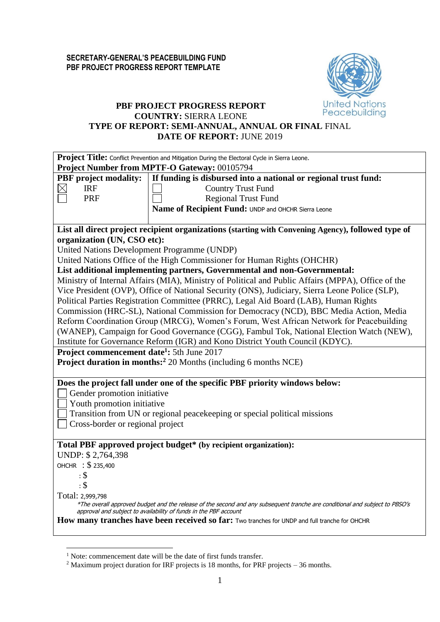

## **PBF PROJECT PROGRESS REPORT COUNTRY:** SIERRA LEONE **TYPE OF REPORT: SEMI-ANNUAL, ANNUAL OR FINAL** FINAL **DATE OF REPORT:** JUNE 2019

| Project Title: Conflict Prevention and Mitigation During the Electoral Cycle in Sierra Leone.                                                                                                   |  |  |  |  |  |  |  |
|-------------------------------------------------------------------------------------------------------------------------------------------------------------------------------------------------|--|--|--|--|--|--|--|
| Project Number from MPTF-O Gateway: 00105794                                                                                                                                                    |  |  |  |  |  |  |  |
| <b>PBF</b> project modality:<br>If funding is disbursed into a national or regional trust fund:                                                                                                 |  |  |  |  |  |  |  |
| <b>IRF</b><br><b>Country Trust Fund</b>                                                                                                                                                         |  |  |  |  |  |  |  |
| <b>PRF</b><br><b>Regional Trust Fund</b>                                                                                                                                                        |  |  |  |  |  |  |  |
| Name of Recipient Fund: UNDP and OHCHR Sierra Leone                                                                                                                                             |  |  |  |  |  |  |  |
|                                                                                                                                                                                                 |  |  |  |  |  |  |  |
| List all direct project recipient organizations (starting with Convening Agency), followed type of                                                                                              |  |  |  |  |  |  |  |
| organization (UN, CSO etc):                                                                                                                                                                     |  |  |  |  |  |  |  |
| United Nations Development Programme (UNDP)                                                                                                                                                     |  |  |  |  |  |  |  |
| United Nations Office of the High Commissioner for Human Rights (OHCHR)                                                                                                                         |  |  |  |  |  |  |  |
| List additional implementing partners, Governmental and non-Governmental:                                                                                                                       |  |  |  |  |  |  |  |
| Ministry of Internal Affairs (MIA), Ministry of Political and Public Affairs (MPPA), Office of the                                                                                              |  |  |  |  |  |  |  |
| Vice President (OVP), Office of National Security (ONS), Judiciary, Sierra Leone Police (SLP),                                                                                                  |  |  |  |  |  |  |  |
| Political Parties Registration Committee (PRRC), Legal Aid Board (LAB), Human Rights                                                                                                            |  |  |  |  |  |  |  |
| Commission (HRC-SL), National Commission for Democracy (NCD), BBC Media Action, Media                                                                                                           |  |  |  |  |  |  |  |
| Reform Coordination Group (MRCG), Women's Forum, West African Network for Peacebuilding                                                                                                         |  |  |  |  |  |  |  |
| (WANEP), Campaign for Good Governance (CGG), Fambul Tok, National Election Watch (NEW),                                                                                                         |  |  |  |  |  |  |  |
| Institute for Governance Reform (IGR) and Kono District Youth Council (KDYC).                                                                                                                   |  |  |  |  |  |  |  |
| Project commencement date <sup>1</sup> : 5th June 2017                                                                                                                                          |  |  |  |  |  |  |  |
| Project duration in months: <sup>2</sup> 20 Months (including 6 months NCE)                                                                                                                     |  |  |  |  |  |  |  |
|                                                                                                                                                                                                 |  |  |  |  |  |  |  |
| Does the project fall under one of the specific PBF priority windows below:                                                                                                                     |  |  |  |  |  |  |  |
| Gender promotion initiative                                                                                                                                                                     |  |  |  |  |  |  |  |
| Youth promotion initiative                                                                                                                                                                      |  |  |  |  |  |  |  |
| Transition from UN or regional peacekeeping or special political missions                                                                                                                       |  |  |  |  |  |  |  |
| Cross-border or regional project                                                                                                                                                                |  |  |  |  |  |  |  |
|                                                                                                                                                                                                 |  |  |  |  |  |  |  |
| Total PBF approved project budget* (by recipient organization):                                                                                                                                 |  |  |  |  |  |  |  |
| UNDP: \$2,764,398                                                                                                                                                                               |  |  |  |  |  |  |  |
| OHCHR : \$ 235,400                                                                                                                                                                              |  |  |  |  |  |  |  |
| $\cdot$ \$                                                                                                                                                                                      |  |  |  |  |  |  |  |
| $: \mathbb{S}$                                                                                                                                                                                  |  |  |  |  |  |  |  |
| Total: 2,999,798                                                                                                                                                                                |  |  |  |  |  |  |  |
| *The overall approved budget and the release of the second and any subsequent tranche are conditional and subject to PBSO's<br>approval and subject to availability of funds in the PBF account |  |  |  |  |  |  |  |
| How many tranches have been received so far: Two tranches for UNDP and full tranche for OHCHR                                                                                                   |  |  |  |  |  |  |  |
|                                                                                                                                                                                                 |  |  |  |  |  |  |  |

<u>.</u>

<sup>&</sup>lt;sup>1</sup> Note: commencement date will be the date of first funds transfer.

<sup>&</sup>lt;sup>2</sup> Maximum project duration for IRF projects is 18 months, for PRF projects – 36 months.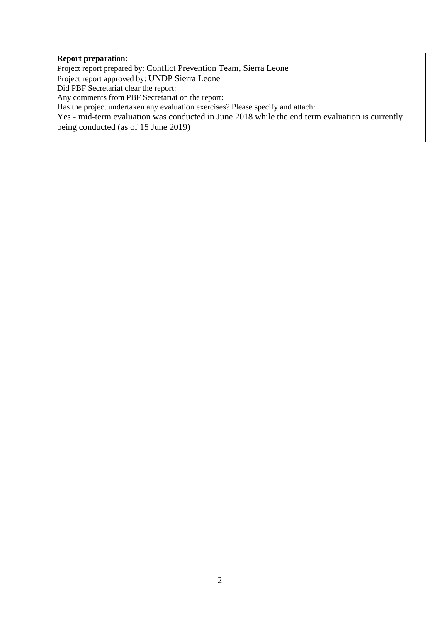#### **Report preparation:**

Project report prepared by: Conflict Prevention Team, Sierra Leone Project report approved by: UNDP Sierra Leone

Did PBF Secretariat clear the report:

Any comments from PBF Secretariat on the report:

Has the project undertaken any evaluation exercises? Please specify and attach:

Yes - mid-term evaluation was conducted in June 2018 while the end term evaluation is currently being conducted (as of 15 June 2019)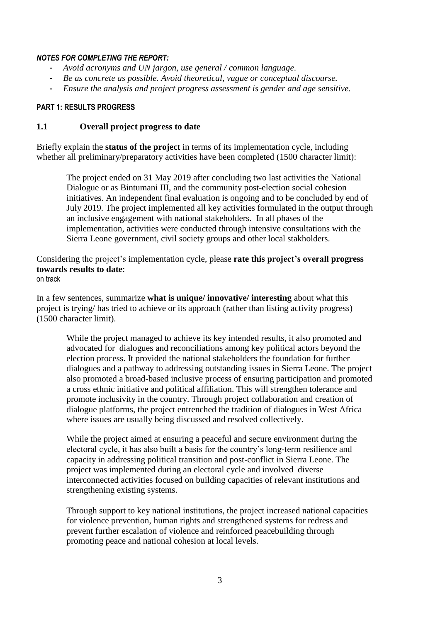#### *NOTES FOR COMPLETING THE REPORT:*

- *Avoid acronyms and UN jargon, use general / common language.*
- *Be as concrete as possible. Avoid theoretical, vague or conceptual discourse.*
- *Ensure the analysis and project progress assessment is gender and age sensitive.*

#### **PART 1: RESULTS PROGRESS**

#### **1.1 Overall project progress to date**

Briefly explain the **status of the project** in terms of its implementation cycle, including whether all preliminary/preparatory activities have been completed (1500 character limit):

The project ended on 31 May 2019 after concluding two last activities the National Dialogue or as Bintumani III, and the community post-election social cohesion initiatives. An independent final evaluation is ongoing and to be concluded by end of July 2019. The project implemented all key activities formulated in the output through an inclusive engagement with national stakeholders. In all phases of the implementation, activities were conducted through intensive consultations with the Sierra Leone government, civil society groups and other local stakholders.

Considering the project's implementation cycle, please **rate this project's overall progress towards results to date**: on track

In a few sentences, summarize **what is unique/ innovative/ interesting** about what this project is trying/ has tried to achieve or its approach (rather than listing activity progress) (1500 character limit).

While the project managed to achieve its key intended results, it also promoted and advocated for dialogues and reconciliations among key political actors beyond the election process. It provided the national stakeholders the foundation for further dialogues and a pathway to addressing outstanding issues in Sierra Leone. The project also promoted a broad-based inclusive process of ensuring participation and promoted a cross ethnic initiative and political affiliation. This will strengthen tolerance and promote inclusivity in the country. Through project collaboration and creation of dialogue platforms, the project entrenched the tradition of dialogues in West Africa where issues are usually being discussed and resolved collectively.

While the project aimed at ensuring a peaceful and secure environment during the electoral cycle, it has also built a basis for the country's long-term resilience and capacity in addressing political transition and post-conflict in Sierra Leone. The project was implemented during an electoral cycle and involved diverse interconnected activities focused on building capacities of relevant institutions and strengthening existing systems.

Through support to key national institutions, the project increased national capacities for violence prevention, human rights and strengthened systems for redress and prevent further escalation of violence and reinforced peacebuilding through promoting peace and national cohesion at local levels.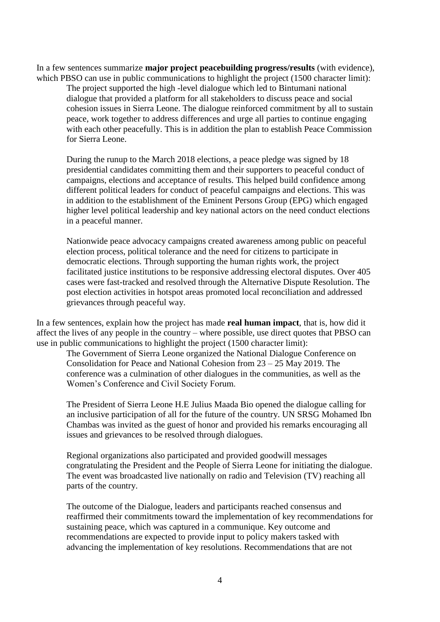In a few sentences summarize **major project peacebuilding progress/results** (with evidence), which PBSO can use in public communications to highlight the project (1500 character limit):

The project supported the high -level dialogue which led to Bintumani national dialogue that provided a platform for all stakeholders to discuss peace and social cohesion issues in Sierra Leone. The dialogue reinforced commitment by all to sustain peace, work together to address differences and urge all parties to continue engaging with each other peacefully. This is in addition the plan to establish Peace Commission for Sierra Leone.

During the runup to the March 2018 elections, a peace pledge was signed by 18 presidential candidates committing them and their supporters to peaceful conduct of campaigns, elections and acceptance of results. This helped build confidence among different political leaders for conduct of peaceful campaigns and elections. This was in addition to the establishment of the Eminent Persons Group (EPG) which engaged higher level political leadership and key national actors on the need conduct elections in a peaceful manner.

Nationwide peace advocacy campaigns created awareness among public on peaceful election process, political tolerance and the need for citizens to participate in democratic elections. Through supporting the human rights work, the project facilitated justice institutions to be responsive addressing electoral disputes. Over 405 cases were fast-tracked and resolved through the Alternative Dispute Resolution. The post election activities in hotspot areas promoted local reconciliation and addressed grievances through peaceful way.

In a few sentences, explain how the project has made **real human impact**, that is, how did it affect the lives of any people in the country – where possible, use direct quotes that PBSO can use in public communications to highlight the project (1500 character limit):

The Government of Sierra Leone organized the National Dialogue Conference on Consolidation for Peace and National Cohesion from 23 – 25 May 2019. The conference was a culmination of other dialogues in the communities, as well as the Women's Conference and Civil Society Forum.

The President of Sierra Leone H.E Julius Maada Bio opened the dialogue calling for an inclusive participation of all for the future of the country. UN SRSG Mohamed Ibn Chambas was invited as the guest of honor and provided his remarks encouraging all issues and grievances to be resolved through dialogues.

Regional organizations also participated and provided goodwill messages congratulating the President and the People of Sierra Leone for initiating the dialogue. The event was broadcasted live nationally on radio and Television (TV) reaching all parts of the country.

The outcome of the Dialogue, leaders and participants reached consensus and reaffirmed their commitments toward the implementation of key recommendations for sustaining peace, which was captured in a communique. Key outcome and recommendations are expected to provide input to policy makers tasked with advancing the implementation of key resolutions. Recommendations that are not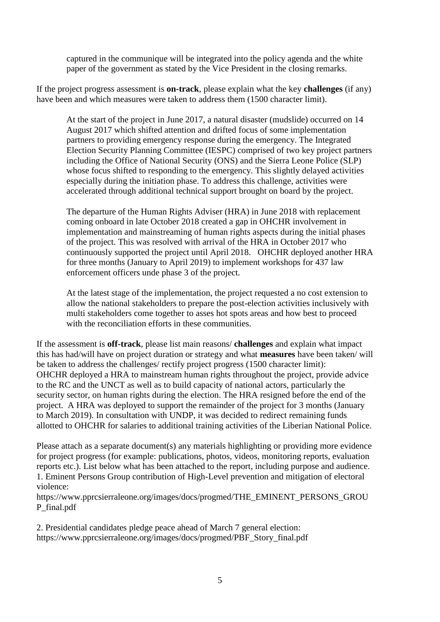captured in the communique will be integrated into the policy agenda and the white paper of the government as stated by the Vice President in the closing remarks.

If the project progress assessment is **on-track**, please explain what the key **challenges** (if any) have been and which measures were taken to address them (1500 character limit).

At the start of the project in June 2017, a natural disaster (mudslide) occurred on 14 August 2017 which shifted attention and drifted focus of some implementation partners to providing emergency response during the emergency. The Integrated Election Security Planning Committee (IESPC) comprised of two key project partners including the Office of National Security (ONS) and the Sierra Leone Police (SLP) whose focus shifted to responding to the emergency. This slightly delayed activities especially during the initiation phase. To address this challenge, activities were accelerated through additional technical support brought on board by the project.

The departure of the Human Rights Adviser (HRA) in June 2018 with replacement coming onboard in late October 2018 created a gap in OHCHR involvement in implementation and mainstreaming of human rights aspects during the initial phases of the project. This was resolved with arrival of the HRA in October 2017 who continuously supported the project until April 2018. OHCHR deployed another HRA for three months (January to April 2019) to implement workshops for 437 law enforcement officers unde phase 3 of the project.

At the latest stage of the implementation, the project requested a no cost extension to allow the national stakeholders to prepare the post-election activities inclusively with multi stakeholders come together to asses hot spots areas and how best to proceed with the reconciliation efforts in these communities.

If the assessment is **off-track**, please list main reasons/ **challenges** and explain what impact this has had/will have on project duration or strategy and what **measures** have been taken/ will be taken to address the challenges/ rectify project progress (1500 character limit): OHCHR deployed a HRA to mainstream human rights throughout the project, provide advice to the RC and the UNCT as well as to build capacity of national actors, particularly the security sector, on human rights during the election. The HRA resigned before the end of the project. A HRA was deployed to support the remainder of the project for 3 months (January to March 2019). In consultation with UNDP, it was decided to redirect remaining funds allotted to OHCHR for salaries to additional training activities of the Liberian National Police.

Please attach as a separate document(s) any materials highlighting or providing more evidence for project progress (for example: publications, photos, videos, monitoring reports, evaluation reports etc.). List below what has been attached to the report, including purpose and audience. 1. Eminent Persons Group contribution of High-Level prevention and mitigation of electoral violence:

https://www.pprcsierraleone.org/images/docs/progmed/THE\_EMINENT\_PERSONS\_GROU P\_final.pdf

2. Presidential candidates pledge peace ahead of March 7 general election: https://www.pprcsierraleone.org/images/docs/progmed/PBF\_Story\_final.pdf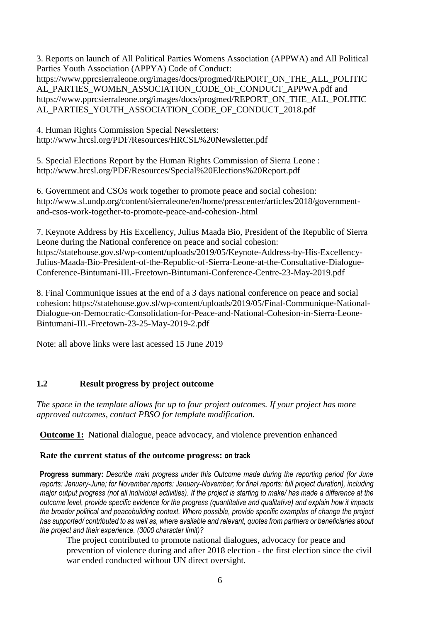3. Reports on launch of All Political Parties Womens Association (APPWA) and All Political Parties Youth Association (APPYA) Code of Conduct: https://www.pprcsierraleone.org/images/docs/progmed/REPORT\_ON\_THE\_ALL\_POLITIC AL\_PARTIES\_WOMEN\_ASSOCIATION\_CODE\_OF\_CONDUCT\_APPWA.pdf and https://www.pprcsierraleone.org/images/docs/progmed/REPORT\_ON\_THE\_ALL\_POLITIC AL\_PARTIES\_YOUTH\_ASSOCIATION\_CODE\_OF\_CONDUCT\_2018.pdf

4. Human Rights Commission Special Newsletters: http://www.hrcsl.org/PDF/Resources/HRCSL%20Newsletter.pdf

5. Special Elections Report by the Human Rights Commission of Sierra Leone : http://www.hrcsl.org/PDF/Resources/Special%20Elections%20Report.pdf

6. Government and CSOs work together to promote peace and social cohesion: http://www.sl.undp.org/content/sierraleone/en/home/presscenter/articles/2018/governmentand-csos-work-together-to-promote-peace-and-cohesion-.html

7. Keynote Address by His Excellency, Julius Maada Bio, President of the Republic of Sierra Leone during the National conference on peace and social cohesion: https://statehouse.gov.sl/wp-content/uploads/2019/05/Keynote-Address-by-His-Excellency-Julius-Maada-Bio-President-of-the-Republic-of-Sierra-Leone-at-the-Consultative-Dialogue-Conference-Bintumani-III.-Freetown-Bintumani-Conference-Centre-23-May-2019.pdf

8. Final Communique issues at the end of a 3 days national conference on peace and social cohesion: https://statehouse.gov.sl/wp-content/uploads/2019/05/Final-Communique-National-Dialogue-on-Democratic-Consolidation-for-Peace-and-National-Cohesion-in-Sierra-Leone-Bintumani-III.-Freetown-23-25-May-2019-2.pdf

Note: all above links were last acessed 15 June 2019

## **1.2 Result progress by project outcome**

*The space in the template allows for up to four project outcomes. If your project has more approved outcomes, contact PBSO for template modification.*

**Outcome 1:** National dialogue, peace advocacy, and violence prevention enhanced

## **Rate the current status of the outcome progress: on track**

**Progress summary:** *Describe main progress under this Outcome made during the reporting period (for June reports: January-June; for November reports: January-November; for final reports: full project duration), including major output progress (not all individual activities). If the project is starting to make/ has made a difference at the outcome level, provide specific evidence for the progress (quantitative and qualitative) and explain how it impacts the broader political and peacebuilding context. Where possible, provide specific examples of change the project has supported/ contributed to as well as, where available and relevant, quotes from partners or beneficiaries about the project and their experience. (3000 character limit)?* 

The project contributed to promote national dialogues, advocacy for peace and prevention of violence during and after 2018 election - the first election since the civil war ended conducted without UN direct oversight.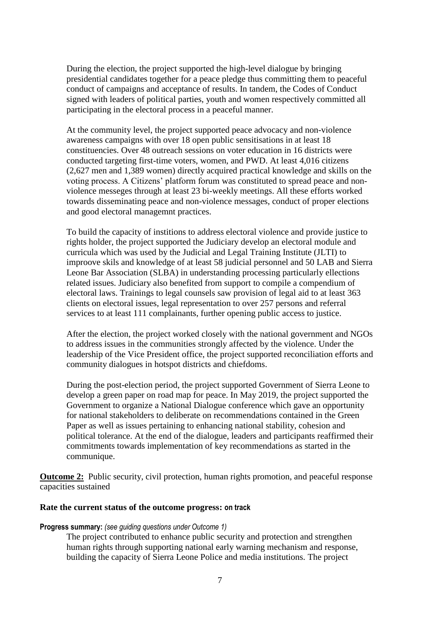During the election, the project supported the high-level dialogue by bringing presidential candidates together for a peace pledge thus committing them to peaceful conduct of campaigns and acceptance of results. In tandem, the Codes of Conduct signed with leaders of political parties, youth and women respectively committed all participating in the electoral process in a peaceful manner.

At the community level, the project supported peace advocacy and non-violence awareness campaigns with over 18 open public sensitisations in at least 18 constituencies. Over 48 outreach sessions on voter education in 16 districts were conducted targeting first-time voters, women, and PWD. At least 4,016 citizens (2,627 men and 1,389 women) directly acquired practical knowledge and skills on the voting process. A Citizens' platform forum was constituted to spread peace and nonviolence messeges through at least 23 bi-weekly meetings. All these efforts worked towards disseminating peace and non-violence messages, conduct of proper elections and good electoral managemnt practices.

To build the capacity of institions to address electoral violence and provide justice to rights holder, the project supported the Judiciary develop an electoral module and curricula which was used by the Judicial and Legal Training Institute (JLTI) to improove skils and knowledge of at least 58 judicial personnel and 50 LAB and Sierra Leone Bar Association (SLBA) in understanding processing particularly ellections related issues. Judiciary also benefited from support to compile a compendium of electoral laws. Trainings to legal counsels saw provision of legal aid to at least 363 clients on electoral issues, legal representation to over 257 persons and referral services to at least 111 complainants, further opening public access to justice.

After the election, the project worked closely with the national government and NGOs to address issues in the communities strongly affected by the violence. Under the leadership of the Vice President office, the project supported reconciliation efforts and community dialogues in hotspot districts and chiefdoms.

During the post-election period, the project supported Government of Sierra Leone to develop a green paper on road map for peace. In May 2019, the project supported the Government to organize a National Dialogue conference which gave an opportunity for national stakeholders to deliberate on recommendations contained in the Green Paper as well as issues pertaining to enhancing national stability, cohesion and political tolerance. At the end of the dialogue, leaders and participants reaffirmed their commitments towards implementation of key recommendations as started in the communique.

**Outcome 2:** Public security, civil protection, human rights promotion, and peaceful response capacities sustained

#### **Rate the current status of the outcome progress: on track**

#### **Progress summary:** *(see guiding questions under Outcome 1)*

The project contributed to enhance public security and protection and strengthen human rights through supporting national early warning mechanism and response, building the capacity of Sierra Leone Police and media institutions. The project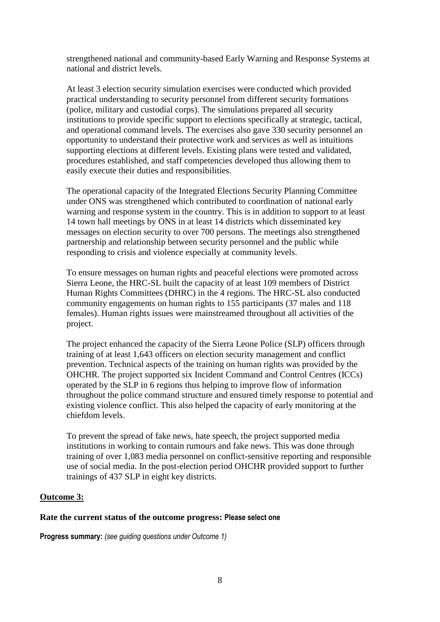strengthened national and community-based Early Warning and Response Systems at national and district levels.

At least 3 election security simulation exercises were conducted which provided practical understanding to security personnel from different security formations (police, military and custodial corps). The simulations prepared all security institutions to provide specific support to elections specifically at strategic, tactical, and operational command levels. The exercises also gave 330 security personnel an opportunity to understand their protective work and services as well as intuitions supporting elections at different levels. Existing plans were tested and validated, procedures established, and staff competencies developed thus allowing them to easily execute their duties and responsibilities.

The operational capacity of the Integrated Elections Security Planning Committee under ONS was strengthened which contributed to coordination of national early warning and response system in the country. This is in addition to support to at least 14 town hall meetings by ONS in at least 14 districts which disseminated key messages on election security to over 700 persons. The meetings also strengthened partnership and relationship between security personnel and the public while responding to crisis and violence especially at community levels.

To ensure messages on human rights and peaceful elections were promoted across Sierra Leone, the HRC-SL built the capacity of at least 109 members of District Human Rights Committees (DHRC) in the 4 regions. The HRC-SL also conducted community engagements on human rights to 155 participants (37 males and 118 females). Human rights issues were mainstreamed throughout all activities of the project.

The project enhanced the capacity of the Sierra Leone Police (SLP) officers through training of at least 1,643 officers on election security management and conflict prevention. Technical aspects of the training on human rights was provided by the OHCHR. The project supported six Incident Command and Control Centres (ICCs) operated by the SLP in 6 regions thus helping to improve flow of information throughout the police command structure and ensured timely response to potential and existing violence conflict. This also helped the capacity of early monitoring at the chiefdom levels.

To prevent the spread of fake news, hate speech, the project supported media institutions in working to contain rumours and fake news. This was done through training of over 1,083 media personnel on conflict-sensitive reporting and responsible use of social media. In the post-election period OHCHR provided support to further trainings of 437 SLP in eight key districts.

#### **Outcome 3:**

#### **Rate the current status of the outcome progress: Please select one**

**Progress summary:** *(see guiding questions under Outcome 1)*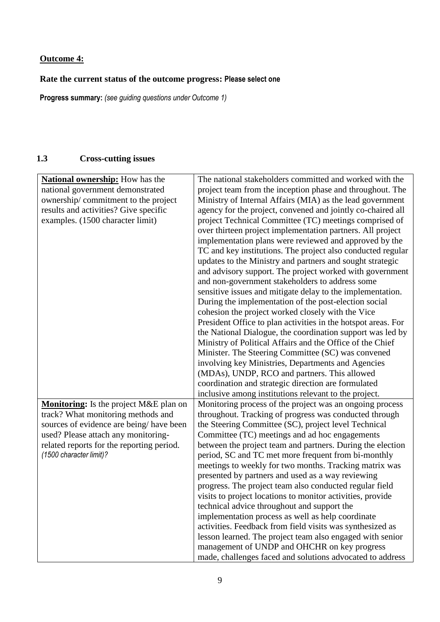# **Outcome 4:**

# **Rate the current status of the outcome progress: Please select one**

**Progress summary:** *(see guiding questions under Outcome 1)* 

# **1.3 Cross-cutting issues**

| <b>National ownership:</b> How has the<br>national government demonstrated<br>ownership/commitment to the project<br>results and activities? Give specific<br>examples. (1500 character limit)                                         | The national stakeholders committed and worked with the<br>project team from the inception phase and throughout. The<br>Ministry of Internal Affairs (MIA) as the lead government<br>agency for the project, convened and jointly co-chaired all<br>project Technical Committee (TC) meetings comprised of<br>over thirteen project implementation partners. All project<br>implementation plans were reviewed and approved by the<br>TC and key institutions. The project also conducted regular<br>updates to the Ministry and partners and sought strategic<br>and advisory support. The project worked with government<br>and non-government stakeholders to address some<br>sensitive issues and mitigate delay to the implementation.<br>During the implementation of the post-election social<br>cohesion the project worked closely with the Vice<br>President Office to plan activities in the hotspot areas. For<br>the National Dialogue, the coordination support was led by<br>Ministry of Political Affairs and the Office of the Chief<br>Minister. The Steering Committee (SC) was convened<br>involving key Ministries, Departments and Agencies<br>(MDAs), UNDP, RCO and partners. This allowed<br>coordination and strategic direction are formulated |
|----------------------------------------------------------------------------------------------------------------------------------------------------------------------------------------------------------------------------------------|--------------------------------------------------------------------------------------------------------------------------------------------------------------------------------------------------------------------------------------------------------------------------------------------------------------------------------------------------------------------------------------------------------------------------------------------------------------------------------------------------------------------------------------------------------------------------------------------------------------------------------------------------------------------------------------------------------------------------------------------------------------------------------------------------------------------------------------------------------------------------------------------------------------------------------------------------------------------------------------------------------------------------------------------------------------------------------------------------------------------------------------------------------------------------------------------------------------------------------------------------------------------------|
|                                                                                                                                                                                                                                        | inclusive among institutions relevant to the project.                                                                                                                                                                                                                                                                                                                                                                                                                                                                                                                                                                                                                                                                                                                                                                                                                                                                                                                                                                                                                                                                                                                                                                                                                    |
| Monitoring: Is the project M&E plan on<br>track? What monitoring methods and<br>sources of evidence are being/have been<br>used? Please attach any monitoring-<br>related reports for the reporting period.<br>(1500 character limit)? | Monitoring process of the project was an ongoing process<br>throughout. Tracking of progress was conducted through<br>the Steering Committee (SC), project level Technical<br>Committee (TC) meetings and ad hoc engagements<br>between the project team and partners. During the election<br>period, SC and TC met more frequent from bi-monthly<br>meetings to weekly for two months. Tracking matrix was<br>presented by partners and used as a way reviewing<br>progress. The project team also conducted regular field<br>visits to project locations to monitor activities, provide<br>technical advice throughout and support the<br>implementation process as well as help coordinate<br>activities. Feedback from field visits was synthesized as<br>lesson learned. The project team also engaged with senior<br>management of UNDP and OHCHR on key progress<br>made, challenges faced and solutions advocated to address                                                                                                                                                                                                                                                                                                                                     |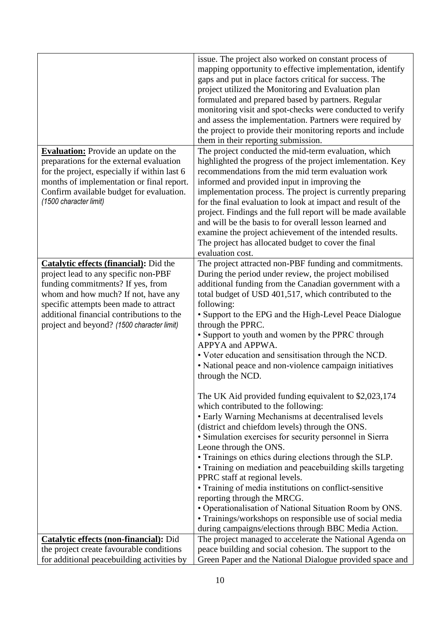|                                                                                                                                                                                                                                                                                                        | issue. The project also worked on constant process of<br>mapping opportunity to effective implementation, identify<br>gaps and put in place factors critical for success. The<br>project utilized the Monitoring and Evaluation plan<br>formulated and prepared based by partners. Regular<br>monitoring visit and spot-checks were conducted to verify<br>and assess the implementation. Partners were required by<br>the project to provide their monitoring reports and include<br>them in their reporting submission.                                                                                                                                                                                                                                                                                         |
|--------------------------------------------------------------------------------------------------------------------------------------------------------------------------------------------------------------------------------------------------------------------------------------------------------|-------------------------------------------------------------------------------------------------------------------------------------------------------------------------------------------------------------------------------------------------------------------------------------------------------------------------------------------------------------------------------------------------------------------------------------------------------------------------------------------------------------------------------------------------------------------------------------------------------------------------------------------------------------------------------------------------------------------------------------------------------------------------------------------------------------------|
| <b>Evaluation:</b> Provide an update on the<br>preparations for the external evaluation<br>for the project, especially if within last 6<br>months of implementation or final report.<br>Confirm available budget for evaluation.<br>(1500 character limit)                                             | The project conducted the mid-term evaluation, which<br>highlighted the progress of the project imlementation. Key<br>recommendations from the mid term evaluation work<br>informed and provided input in improving the<br>implementation process. The project is currently preparing<br>for the final evaluation to look at impact and result of the<br>project. Findings and the full report will be made available<br>and will be the basis to for overall lesson learned and<br>examine the project achievement of the intended results.<br>The project has allocated budget to cover the final<br>evaluation cost.                                                                                                                                                                                           |
| <b>Catalytic effects (financial):</b> Did the<br>project lead to any specific non-PBF<br>funding commitments? If yes, from<br>whom and how much? If not, have any<br>specific attempts been made to attract<br>additional financial contributions to the<br>project and beyond? (1500 character limit) | The project attracted non-PBF funding and commitments.<br>During the period under review, the project mobilised<br>additional funding from the Canadian government with a<br>total budget of USD 401,517, which contributed to the<br>following:<br>• Support to the EPG and the High-Level Peace Dialogue<br>through the PPRC.<br>• Support to youth and women by the PPRC through<br>APPYA and APPWA.<br>• Voter education and sensitisation through the NCD.<br>• National peace and non-violence campaign initiatives<br>through the NCD.<br>The UK Aid provided funding equivalent to \$2,023,174<br>which contributed to the following:<br>• Early Warning Mechanisms at decentralised levels<br>(district and chiefdom levels) through the ONS.<br>· Simulation exercises for security personnel in Sierra |
|                                                                                                                                                                                                                                                                                                        | Leone through the ONS.<br>• Trainings on ethics during elections through the SLP.<br>• Training on mediation and peacebuilding skills targeting<br>PPRC staff at regional levels.<br>• Training of media institutions on conflict-sensitive<br>reporting through the MRCG.<br>• Operationalisation of National Situation Room by ONS.<br>• Trainings/workshops on responsible use of social media<br>during campaigns/elections through BBC Media Action.                                                                                                                                                                                                                                                                                                                                                         |
| <b>Catalytic effects (non-financial):</b> Did                                                                                                                                                                                                                                                          | The project managed to accelerate the National Agenda on                                                                                                                                                                                                                                                                                                                                                                                                                                                                                                                                                                                                                                                                                                                                                          |
| the project create favourable conditions                                                                                                                                                                                                                                                               | peace building and social cohesion. The support to the                                                                                                                                                                                                                                                                                                                                                                                                                                                                                                                                                                                                                                                                                                                                                            |
| for additional peacebuilding activities by                                                                                                                                                                                                                                                             | Green Paper and the National Dialogue provided space and                                                                                                                                                                                                                                                                                                                                                                                                                                                                                                                                                                                                                                                                                                                                                          |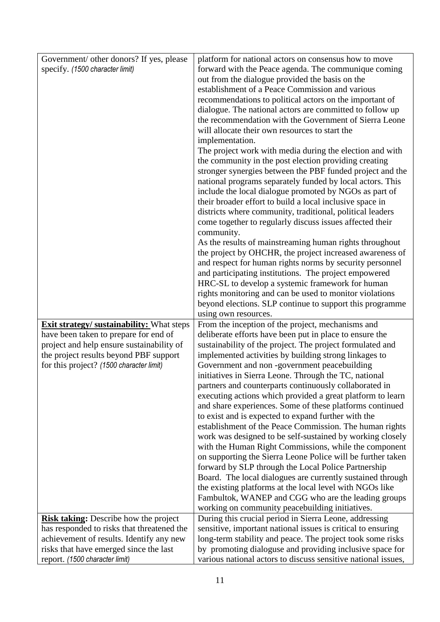| Government/ other donors? If yes, please                                           | platform for national actors on consensus how to move                                                                     |
|------------------------------------------------------------------------------------|---------------------------------------------------------------------------------------------------------------------------|
| specify. (1500 character limit)                                                    | forward with the Peace agenda. The communique coming                                                                      |
|                                                                                    | out from the dialogue provided the basis on the                                                                           |
|                                                                                    | establishment of a Peace Commission and various                                                                           |
|                                                                                    | recommendations to political actors on the important of                                                                   |
|                                                                                    | dialogue. The national actors are committed to follow up                                                                  |
|                                                                                    | the recommendation with the Government of Sierra Leone                                                                    |
|                                                                                    | will allocate their own resources to start the                                                                            |
|                                                                                    | implementation.                                                                                                           |
|                                                                                    | The project work with media during the election and with                                                                  |
|                                                                                    | the community in the post election providing creating                                                                     |
|                                                                                    | stronger synergies between the PBF funded project and the                                                                 |
|                                                                                    | national programs separately funded by local actors. This                                                                 |
|                                                                                    | include the local dialogue promoted by NGOs as part of                                                                    |
|                                                                                    | their broader effort to build a local inclusive space in                                                                  |
|                                                                                    | districts where community, traditional, political leaders                                                                 |
|                                                                                    | come together to regularly discuss issues affected their                                                                  |
|                                                                                    | community.                                                                                                                |
|                                                                                    | As the results of mainstreaming human rights throughout                                                                   |
|                                                                                    | the project by OHCHR, the project increased awareness of                                                                  |
|                                                                                    | and respect for human rights norms by security personnel                                                                  |
|                                                                                    | and participating institutions. The project empowered                                                                     |
|                                                                                    | HRC-SL to develop a systemic framework for human                                                                          |
|                                                                                    | rights monitoring and can be used to monitor violations                                                                   |
|                                                                                    | beyond elections. SLP continue to support this programme                                                                  |
|                                                                                    | using own resources.                                                                                                      |
| <b>Exit strategy/ sustainability:</b> What steps                                   | From the inception of the project, mechanisms and                                                                         |
| have been taken to prepare for end of<br>project and help ensure sustainability of | deliberate efforts have been put in place to ensure the<br>sustainability of the project. The project formulated and      |
| the project results beyond PBF support                                             | implemented activities by building strong linkages to                                                                     |
|                                                                                    |                                                                                                                           |
|                                                                                    |                                                                                                                           |
| for this project? (1500 character limit)                                           | Government and non -government peacebuilding                                                                              |
|                                                                                    | initiatives in Sierra Leone. Through the TC, national                                                                     |
|                                                                                    | partners and counterparts continuously collaborated in                                                                    |
|                                                                                    | executing actions which provided a great platform to learn                                                                |
|                                                                                    | and share experiences. Some of these platforms continued                                                                  |
|                                                                                    | to exist and is expected to expand further with the                                                                       |
|                                                                                    | establishment of the Peace Commission. The human rights                                                                   |
|                                                                                    | work was designed to be self-sustained by working closely<br>with the Human Right Commissions, while the component        |
|                                                                                    | on supporting the Sierra Leone Police will be further taken                                                               |
|                                                                                    | forward by SLP through the Local Police Partnership                                                                       |
|                                                                                    | Board. The local dialogues are currently sustained through                                                                |
|                                                                                    | the existing platforms at the local level with NGOs like                                                                  |
|                                                                                    | Fambultok, WANEP and CGG who are the leading groups                                                                       |
|                                                                                    | working on community peacebuilding initiatives.                                                                           |
| <b>Risk taking:</b> Describe how the project                                       | During this crucial period in Sierra Leone, addressing                                                                    |
| has responded to risks that threatened the                                         | sensitive, important national issues is critical to ensuring                                                              |
| achievement of results. Identify any new                                           | long-term stability and peace. The project took some risks                                                                |
| risks that have emerged since the last<br>report. (1500 character limit)           | by promoting dialoguse and providing inclusive space for<br>various national actors to discuss sensitive national issues, |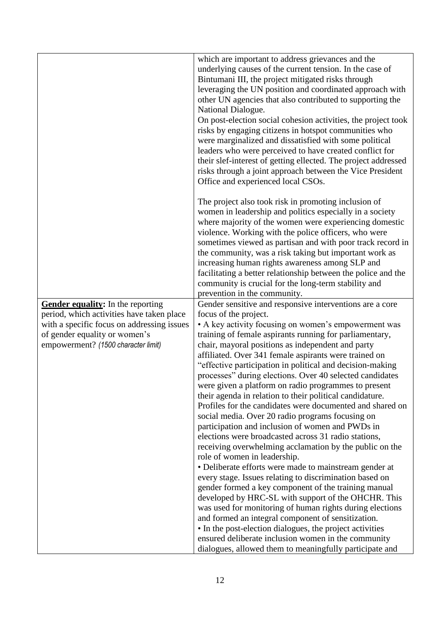|                                                                             | which are important to address grievances and the<br>underlying causes of the current tension. In the case of<br>Bintumani III, the project mitigated risks through<br>leveraging the UN position and coordinated approach with<br>other UN agencies that also contributed to supporting the<br>National Dialogue.<br>On post-election social cohesion activities, the project took<br>risks by engaging citizens in hotspot communities who<br>were marginalized and dissatisfied with some political                                                                 |
|-----------------------------------------------------------------------------|------------------------------------------------------------------------------------------------------------------------------------------------------------------------------------------------------------------------------------------------------------------------------------------------------------------------------------------------------------------------------------------------------------------------------------------------------------------------------------------------------------------------------------------------------------------------|
|                                                                             | leaders who were perceived to have created conflict for<br>their slef-interest of getting ellected. The project addressed<br>risks through a joint approach between the Vice President<br>Office and experienced local CSOs.                                                                                                                                                                                                                                                                                                                                           |
|                                                                             | The project also took risk in promoting inclusion of<br>women in leadership and politics especially in a society<br>where majority of the women were experiencing domestic<br>violence. Working with the police officers, who were<br>sometimes viewed as partisan and with poor track record in<br>the community, was a risk taking but important work as<br>increasing human rights awareness among SLP and<br>facilitating a better relationship between the police and the<br>community is crucial for the long-term stability and<br>prevention in the community. |
| Gender equality: In the reporting                                           | Gender sensitive and responsive interventions are a core                                                                                                                                                                                                                                                                                                                                                                                                                                                                                                               |
| period, which activities have taken place                                   | focus of the project.                                                                                                                                                                                                                                                                                                                                                                                                                                                                                                                                                  |
| with a specific focus on addressing issues<br>of gender equality or women's | • A key activity focusing on women's empowerment was<br>training of female aspirants running for parliamentary,                                                                                                                                                                                                                                                                                                                                                                                                                                                        |
| empowerment? (1500 character limit)                                         | chair, mayoral positions as independent and party                                                                                                                                                                                                                                                                                                                                                                                                                                                                                                                      |
|                                                                             | affiliated. Over 341 female aspirants were trained on                                                                                                                                                                                                                                                                                                                                                                                                                                                                                                                  |
|                                                                             | "effective participation in political and decision-making                                                                                                                                                                                                                                                                                                                                                                                                                                                                                                              |
|                                                                             | processes" during elections. Over 40 selected candidates                                                                                                                                                                                                                                                                                                                                                                                                                                                                                                               |
|                                                                             | were given a platform on radio programmes to present                                                                                                                                                                                                                                                                                                                                                                                                                                                                                                                   |
|                                                                             | their agenda in relation to their political candidature.<br>Profiles for the candidates were documented and shared on                                                                                                                                                                                                                                                                                                                                                                                                                                                  |
|                                                                             | social media. Over 20 radio programs focusing on                                                                                                                                                                                                                                                                                                                                                                                                                                                                                                                       |
|                                                                             | participation and inclusion of women and PWDs in                                                                                                                                                                                                                                                                                                                                                                                                                                                                                                                       |
|                                                                             | elections were broadcasted across 31 radio stations,                                                                                                                                                                                                                                                                                                                                                                                                                                                                                                                   |
|                                                                             | receiving overwhelming acclamation by the public on the                                                                                                                                                                                                                                                                                                                                                                                                                                                                                                                |
|                                                                             | role of women in leadership.<br>• Deliberate efforts were made to mainstream gender at                                                                                                                                                                                                                                                                                                                                                                                                                                                                                 |
|                                                                             | every stage. Issues relating to discrimination based on                                                                                                                                                                                                                                                                                                                                                                                                                                                                                                                |
|                                                                             | gender formed a key component of the training manual                                                                                                                                                                                                                                                                                                                                                                                                                                                                                                                   |
|                                                                             | developed by HRC-SL with support of the OHCHR. This                                                                                                                                                                                                                                                                                                                                                                                                                                                                                                                    |
|                                                                             | was used for monitoring of human rights during elections                                                                                                                                                                                                                                                                                                                                                                                                                                                                                                               |
|                                                                             | and formed an integral component of sensitization.                                                                                                                                                                                                                                                                                                                                                                                                                                                                                                                     |
|                                                                             | • In the post-election dialogues, the project activities                                                                                                                                                                                                                                                                                                                                                                                                                                                                                                               |
|                                                                             | ensured deliberate inclusion women in the community                                                                                                                                                                                                                                                                                                                                                                                                                                                                                                                    |
|                                                                             | dialogues, allowed them to meaningfully participate and                                                                                                                                                                                                                                                                                                                                                                                                                                                                                                                |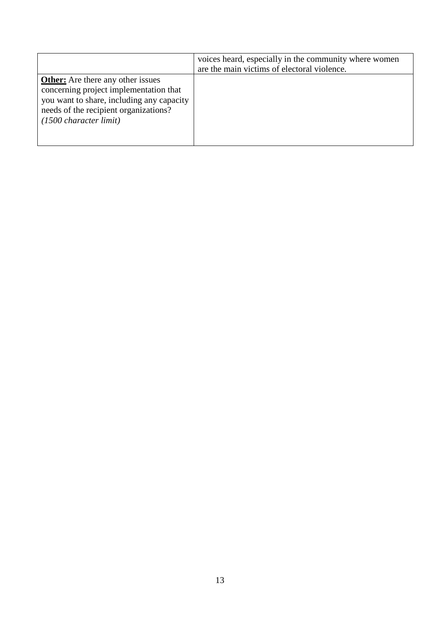|                                                                                                                                                                                                              | voices heard, especially in the community where women<br>are the main victims of electoral violence. |
|--------------------------------------------------------------------------------------------------------------------------------------------------------------------------------------------------------------|------------------------------------------------------------------------------------------------------|
| <b>Other:</b> Are there any other issues<br>concerning project implementation that<br>you want to share, including any capacity<br>needs of the recipient organizations?<br>$(1500 \text{ character limit})$ |                                                                                                      |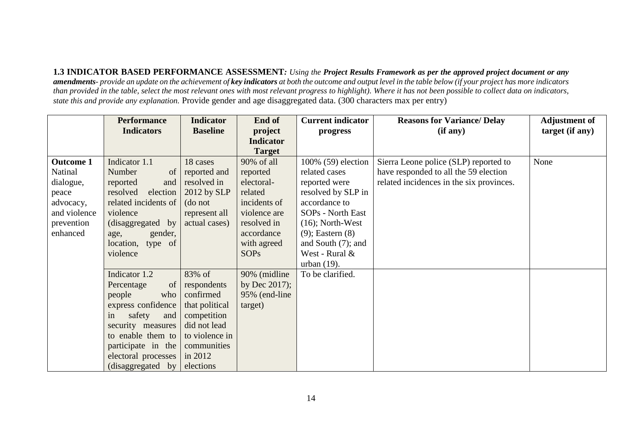**1.3 INDICATOR BASED PERFORMANCE ASSESSMENT***: Using the Project Results Framework as per the approved project document or any amendments- provide an update on the achievement of key indicators at both the outcome and output level in the table below (if your project has more indicators than provided in the table, select the most relevant ones with most relevant progress to highlight). Where it has not been possible to collect data on indicators, state this and provide any explanation.* Provide gender and age disaggregated data. (300 characters max per entry)

|                  | <b>Performance</b>       | <b>Indicator</b> | End of           | <b>Current indicator</b> | <b>Reasons for Variance/ Delay</b>       | <b>Adjustment of</b> |
|------------------|--------------------------|------------------|------------------|--------------------------|------------------------------------------|----------------------|
|                  | <b>Indicators</b>        | <b>Baseline</b>  | project          | progress                 | (if any)                                 | target (if any)      |
|                  |                          |                  | <b>Indicator</b> |                          |                                          |                      |
|                  |                          |                  | <b>Target</b>    |                          |                                          |                      |
| <b>Outcome 1</b> | Indicator 1.1            | 18 cases         | 90% of all       | 100% (59) election       | Sierra Leone police (SLP) reported to    | None                 |
| Natinal          | Number<br>of             | reported and     | reported         | related cases            | have responded to all the 59 election    |                      |
| dialogue,        | reported<br>and          | resolved in      | electoral-       | reported were            | related incidences in the six provinces. |                      |
| peace            | resolved<br>election     | 2012 by SLP      | related          | resolved by SLP in       |                                          |                      |
| advocacy,        | related incidents of     | (do not          | incidents of     | accordance to            |                                          |                      |
| and violence     | violence                 | represent all    | violence are     | SOPs - North East        |                                          |                      |
| prevention       | (disaggregated by        | actual cases)    | resolved in      | $(16)$ ; North-West      |                                          |                      |
| enhanced         | gender,<br>age,          |                  | accordance       | $(9)$ ; Eastern $(8)$    |                                          |                      |
|                  | location, type of        |                  | with agreed      | and South $(7)$ ; and    |                                          |                      |
|                  | violence                 |                  | <b>SOPs</b>      | West - Rural &           |                                          |                      |
|                  |                          |                  |                  | urban $(19)$ .           |                                          |                      |
|                  | Indicator 1.2            | 83% of           | 90% (midline     | To be clarified.         |                                          |                      |
|                  | Percentage<br>$\sigma f$ | respondents      | by Dec $2017$ ;  |                          |                                          |                      |
|                  | people<br>who            | confirmed        | 95% (end-line    |                          |                                          |                      |
|                  | express confidence       | that political   | target)          |                          |                                          |                      |
|                  | safety<br>and<br>in      | competition      |                  |                          |                                          |                      |
|                  | security measures        | did not lead     |                  |                          |                                          |                      |
|                  | to enable them to        | to violence in   |                  |                          |                                          |                      |
|                  | participate in the       | communities      |                  |                          |                                          |                      |
|                  | electoral processes      | in 2012          |                  |                          |                                          |                      |
|                  | (disaggered by)          | elections        |                  |                          |                                          |                      |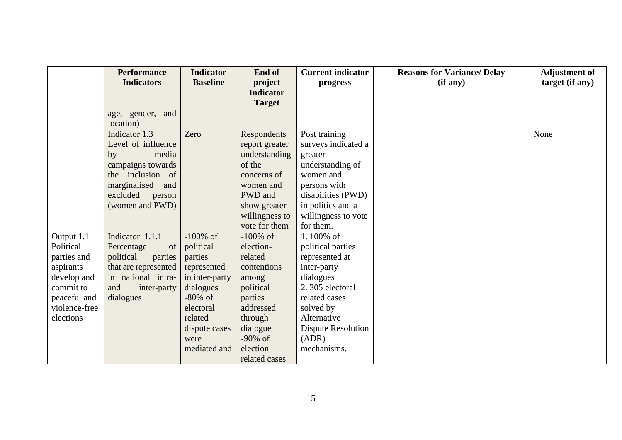| <b>Performance</b><br><b>Indicators</b>                                                                                                                     | <b>Indicator</b><br><b>Baseline</b>                                                                                                               | End of<br>project                                                                                                                  | <b>Current indicator</b><br>progress                                                                                                                                          | <b>Reasons for Variance/ Delay</b><br>(if any) | <b>Adjustment of</b><br>target (if any) |
|-------------------------------------------------------------------------------------------------------------------------------------------------------------|---------------------------------------------------------------------------------------------------------------------------------------------------|------------------------------------------------------------------------------------------------------------------------------------|-------------------------------------------------------------------------------------------------------------------------------------------------------------------------------|------------------------------------------------|-----------------------------------------|
|                                                                                                                                                             |                                                                                                                                                   |                                                                                                                                    |                                                                                                                                                                               |                                                |                                         |
| age, gender, and<br>location)                                                                                                                               |                                                                                                                                                   |                                                                                                                                    |                                                                                                                                                                               |                                                |                                         |
| Indicator 1.3<br>Level of influence<br>media<br>by<br>campaigns towards<br>the inclusion of<br>marginalised<br>and<br>excluded<br>person<br>(women and PWD) | Zero                                                                                                                                              | Respondents<br>report greater<br>understanding<br>of the<br>concerns of<br>women and<br>PWD and<br>show greater<br>willingness to  | Post training<br>surveys indicated a<br>greater<br>understanding of<br>women and<br>persons with<br>disabilities (PWD)<br>in politics and a<br>willingness to vote            |                                                | None                                    |
|                                                                                                                                                             |                                                                                                                                                   |                                                                                                                                    |                                                                                                                                                                               |                                                |                                         |
| Percentage<br>of<br>political<br>parties<br>in national intra-<br>and<br>inter-party<br>dialogues                                                           | political<br>parties<br>represented<br>in inter-party<br>dialogues<br>$-80\%$ of<br>electoral<br>related<br>dispute cases<br>were<br>mediated and | election-<br>related<br>contentions<br>among<br>political<br>parties<br>addressed<br>through<br>dialogue<br>$-90\%$ of<br>election | political parties<br>represented at<br>inter-party<br>dialogues<br>2.305 electoral<br>related cases<br>solved by<br>Alternative<br>Dispute Resolution<br>(ADR)<br>mechanisms. |                                                |                                         |
|                                                                                                                                                             | Indicator 1.1.1                                                                                                                                   | $-100\%$ of<br>that are represented                                                                                                | <b>Indicator</b><br><b>Target</b><br>vote for them<br>$-100\%$ of<br>related cases                                                                                            | for them.<br>1.100% of                         |                                         |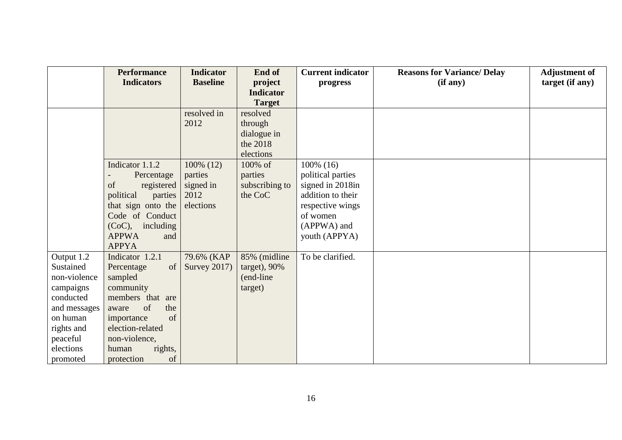|                                                             | <b>Performance</b>                                                                            | <b>Indicator</b> | End of           | <b>Current indicator</b> | <b>Reasons for Variance/ Delay</b> | <b>Adjustment of</b> |
|-------------------------------------------------------------|-----------------------------------------------------------------------------------------------|------------------|------------------|--------------------------|------------------------------------|----------------------|
|                                                             | <b>Indicators</b>                                                                             | <b>Baseline</b>  | project          | progress                 | (if any)                           | target (if any)      |
|                                                             |                                                                                               |                  | <b>Indicator</b> |                          |                                    |                      |
|                                                             |                                                                                               |                  | <b>Target</b>    |                          |                                    |                      |
|                                                             |                                                                                               | resolved in      | resolved         |                          |                                    |                      |
|                                                             |                                                                                               | 2012             | through          |                          |                                    |                      |
|                                                             |                                                                                               |                  | dialogue in      |                          |                                    |                      |
|                                                             |                                                                                               |                  | the 2018         |                          |                                    |                      |
|                                                             |                                                                                               |                  | elections        |                          |                                    |                      |
|                                                             | Indicator 1.1.2                                                                               | 100% (12)        | 100% of          | $100\%$ (16)             |                                    |                      |
|                                                             | Percentage                                                                                    | parties          | parties          | political parties        |                                    |                      |
|                                                             | of<br>registered                                                                              | signed in        | subscribing to   | signed in 2018in         |                                    |                      |
|                                                             | political<br>parties                                                                          | 2012             | the CoC          | addition to their        |                                    |                      |
|                                                             | that sign onto the                                                                            | elections        |                  | respective wings         |                                    |                      |
|                                                             | Code of Conduct                                                                               |                  |                  | of women                 |                                    |                      |
|                                                             | $(CoC)$ , including                                                                           |                  |                  | (APPWA) and              |                                    |                      |
|                                                             | <b>APPWA</b><br>and                                                                           |                  |                  | youth (APPYA)            |                                    |                      |
|                                                             | <b>APPYA</b>                                                                                  |                  |                  |                          |                                    |                      |
| Output 1.2                                                  | Indicator 1.2.1                                                                               | 79.6% (KAP       | 85% (midline     | To be clarified.         |                                    |                      |
| Sustained                                                   | Percentage<br>of                                                                              | Survey 2017)     | target), 90%     |                          |                                    |                      |
| non-violence                                                | sampled                                                                                       |                  | (end-line)       |                          |                                    |                      |
| campaigns                                                   | community                                                                                     |                  | target)          |                          |                                    |                      |
| conducted                                                   | members that are                                                                              |                  |                  |                          |                                    |                      |
| and messages                                                | of<br>the<br>aware                                                                            |                  |                  |                          |                                    |                      |
|                                                             |                                                                                               |                  |                  |                          |                                    |                      |
|                                                             |                                                                                               |                  |                  |                          |                                    |                      |
|                                                             |                                                                                               |                  |                  |                          |                                    |                      |
|                                                             |                                                                                               |                  |                  |                          |                                    |                      |
| on human<br>rights and<br>peaceful<br>elections<br>promoted | of<br>importance<br>election-related<br>non-violence,<br>rights,<br>human<br>of<br>protection |                  |                  |                          |                                    |                      |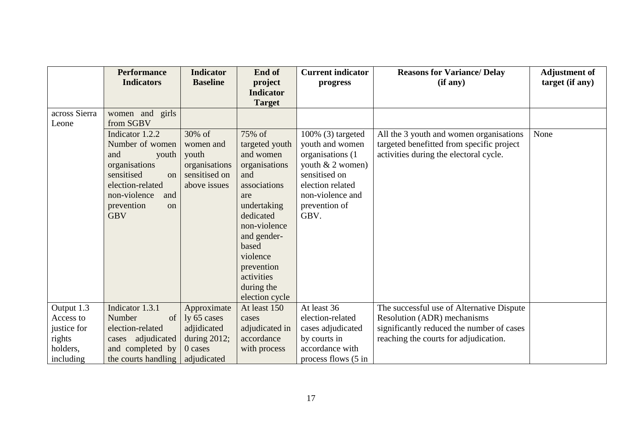|                         | <b>Performance</b><br><b>Indicators</b>                                                                                                                                    | <b>Indicator</b><br><b>Baseline</b>                                            | End of<br>project                                                                                                                                                                                                                | <b>Current indicator</b><br>progress                                                                                                                              | <b>Reasons for Variance/ Delay</b><br>(if any)                                                                                 | <b>Adjustment of</b><br>target (if any) |
|-------------------------|----------------------------------------------------------------------------------------------------------------------------------------------------------------------------|--------------------------------------------------------------------------------|----------------------------------------------------------------------------------------------------------------------------------------------------------------------------------------------------------------------------------|-------------------------------------------------------------------------------------------------------------------------------------------------------------------|--------------------------------------------------------------------------------------------------------------------------------|-----------------------------------------|
|                         |                                                                                                                                                                            |                                                                                | <b>Indicator</b><br><b>Target</b>                                                                                                                                                                                                |                                                                                                                                                                   |                                                                                                                                |                                         |
| across Sierra<br>Leone  | women and girls<br>from SGBV                                                                                                                                               |                                                                                |                                                                                                                                                                                                                                  |                                                                                                                                                                   |                                                                                                                                |                                         |
|                         | Indicator 1.2.2<br>Number of women<br>and<br>youth<br>organisations<br>sensitised<br>$\Omega$<br>election-related<br>non-violence<br>and<br>prevention<br>on<br><b>GBV</b> | 30% of<br>women and<br>youth<br>organisations<br>sensitised on<br>above issues | 75% of<br>targeted youth<br>and women<br>organisations<br>and<br>associations<br>are<br>undertaking<br>dedicated<br>non-violence<br>and gender-<br>based<br>violence<br>prevention<br>activities<br>during the<br>election cycle | 100% (3) targeted<br>youth and women<br>organisations (1)<br>youth $& 2$ women)<br>sensitised on<br>election related<br>non-violence and<br>prevention of<br>GBV. | All the 3 youth and women organisations<br>targeted benefitted from specific project<br>activities during the electoral cycle. | None                                    |
| Output 1.3<br>Access to | Indicator 1.3.1<br>Number<br>of <sub>1</sub>                                                                                                                               | Approximate<br>ly 65 cases                                                     | At least 150<br>cases                                                                                                                                                                                                            | At least 36<br>election-related                                                                                                                                   | The successful use of Alternative Dispute<br>Resolution (ADR) mechanisms                                                       |                                         |
| justice for             | election-related                                                                                                                                                           | adjidicated                                                                    | adjudicated in                                                                                                                                                                                                                   | cases adjudicated                                                                                                                                                 | significantly reduced the number of cases                                                                                      |                                         |
| rights                  | adjudicated<br>cases                                                                                                                                                       | during $2012$ ;                                                                | accordance                                                                                                                                                                                                                       | by courts in                                                                                                                                                      | reaching the courts for adjudication.                                                                                          |                                         |
| holders,                | and completed by                                                                                                                                                           | 0 cases                                                                        | with process                                                                                                                                                                                                                     | accordance with                                                                                                                                                   |                                                                                                                                |                                         |
| including               | the courts handling                                                                                                                                                        | adjudicated                                                                    |                                                                                                                                                                                                                                  | process flows (5 in                                                                                                                                               |                                                                                                                                |                                         |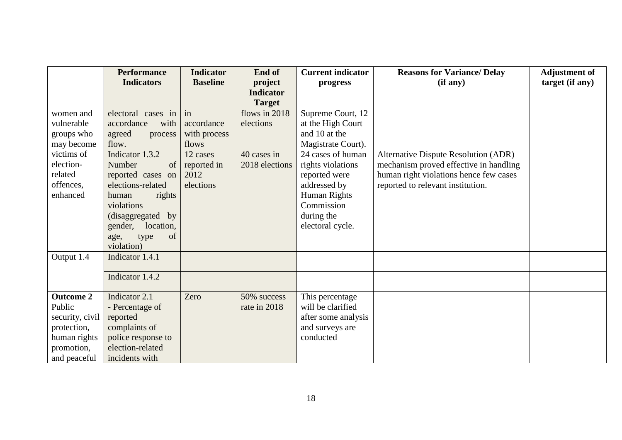|                  | <b>Performance</b>   | <b>Indicator</b> | End of           | <b>Current indicator</b> | <b>Reasons for Variance/ Delay</b>          | <b>Adjustment of</b> |
|------------------|----------------------|------------------|------------------|--------------------------|---------------------------------------------|----------------------|
|                  | <b>Indicators</b>    | <b>Baseline</b>  | project          | progress                 | (if any)                                    | target (if any)      |
|                  |                      |                  | <b>Indicator</b> |                          |                                             |                      |
|                  |                      |                  | <b>Target</b>    |                          |                                             |                      |
| women and        | electoral cases in   | in               | flows in 2018    | Supreme Court, 12        |                                             |                      |
| vulnerable       | accordance<br>with   | accordance       | elections        | at the High Court        |                                             |                      |
| groups who       | agreed<br>process    | with process     |                  | and 10 at the            |                                             |                      |
| may become       | flow.                | flows            |                  | Magistrate Court).       |                                             |                      |
| victims of       | Indicator 1.3.2      | 12 cases         | 40 cases in      | 24 cases of human        | <b>Alternative Dispute Resolution (ADR)</b> |                      |
| election-        | Number<br>of         | reported in      | 2018 elections   | rights violations        | mechanism proved effective in handling      |                      |
| related          | reported cases on    | 2012             |                  | reported were            | human right violations hence few cases      |                      |
| offences,        | elections-related    | elections        |                  | addressed by             | reported to relevant institution.           |                      |
| enhanced         | human<br>rights      |                  |                  | Human Rights             |                                             |                      |
|                  | violations           |                  |                  | Commission               |                                             |                      |
|                  | (disaggregated by    |                  |                  | during the               |                                             |                      |
|                  | gender,<br>location, |                  |                  | electoral cycle.         |                                             |                      |
|                  | of<br>age,<br>type   |                  |                  |                          |                                             |                      |
|                  | violation)           |                  |                  |                          |                                             |                      |
| Output 1.4       | Indicator 1.4.1      |                  |                  |                          |                                             |                      |
|                  |                      |                  |                  |                          |                                             |                      |
|                  | Indicator 1.4.2      |                  |                  |                          |                                             |                      |
| <b>Outcome 2</b> | Indicator 2.1        | Zero             | 50% success      | This percentage          |                                             |                      |
| Public           | - Percentage of      |                  | rate in 2018     | will be clarified        |                                             |                      |
| security, civil  | reported             |                  |                  | after some analysis      |                                             |                      |
| protection,      | complaints of        |                  |                  | and surveys are          |                                             |                      |
| human rights     | police response to   |                  |                  | conducted                |                                             |                      |
| promotion,       | election-related     |                  |                  |                          |                                             |                      |
| and peaceful     | incidents with       |                  |                  |                          |                                             |                      |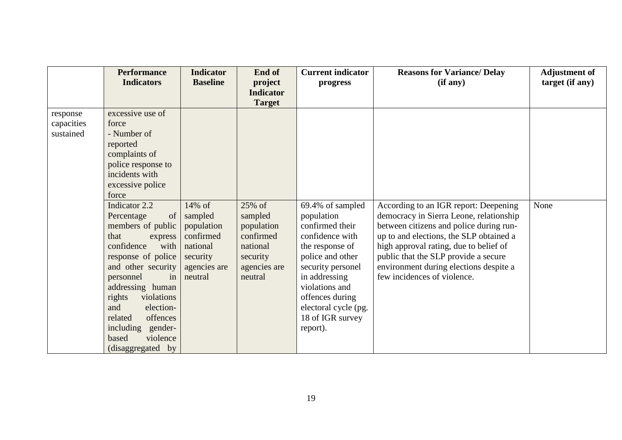|                                     | <b>Performance</b><br><b>Indicators</b>                                                                                                                                                                                                                                                                                                                                                                                                                                         | <b>Indicator</b><br><b>Baseline</b>                                                             | End of<br>project<br><b>Indicator</b>                                                           | <b>Current indicator</b><br>progress                                                                                                                                                                                                           | <b>Reasons for Variance/ Delay</b><br>(if any)                                                                                                                                                                                                                                                                                    | <b>Adjustment of</b><br>target (if any) |
|-------------------------------------|---------------------------------------------------------------------------------------------------------------------------------------------------------------------------------------------------------------------------------------------------------------------------------------------------------------------------------------------------------------------------------------------------------------------------------------------------------------------------------|-------------------------------------------------------------------------------------------------|-------------------------------------------------------------------------------------------------|------------------------------------------------------------------------------------------------------------------------------------------------------------------------------------------------------------------------------------------------|-----------------------------------------------------------------------------------------------------------------------------------------------------------------------------------------------------------------------------------------------------------------------------------------------------------------------------------|-----------------------------------------|
|                                     |                                                                                                                                                                                                                                                                                                                                                                                                                                                                                 |                                                                                                 | <b>Target</b>                                                                                   |                                                                                                                                                                                                                                                |                                                                                                                                                                                                                                                                                                                                   |                                         |
| response<br>capacities<br>sustained | excessive use of<br>force<br>- Number of<br>reported<br>complaints of<br>police response to<br>incidents with<br>excessive police<br>force<br>Indicator 2.2<br>of <sub>1</sub><br>Percentage<br>members of public<br>that<br>express<br>confidence<br>with<br>response of police<br>and other security<br>personnel<br>in<br>addressing human<br>violations<br>rights<br>and<br>election-<br>offences<br>related<br>including gender-<br>violence<br>based<br>(disaggregated by | 14% of<br>sampled<br>population<br>confirmed<br>national<br>security<br>agencies are<br>neutral | 25% of<br>sampled<br>population<br>confirmed<br>national<br>security<br>agencies are<br>neutral | 69.4% of sampled<br>population<br>confirmed their<br>confidence with<br>the response of<br>police and other<br>security personel<br>in addressing<br>violations and<br>offences during<br>electoral cycle (pg.<br>18 of IGR survey<br>report). | According to an IGR report: Deepening<br>democracy in Sierra Leone, relationship<br>between citizens and police during run-<br>up to and elections, the SLP obtained a<br>high approval rating, due to belief of<br>public that the SLP provide a secure<br>environment during elections despite a<br>few incidences of violence. | None                                    |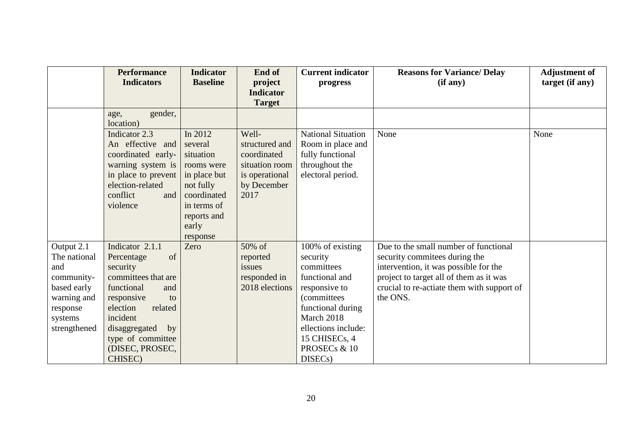|                                                                                                                      | <b>Performance</b><br><b>Indicators</b>                                                                                                                                                                                      | <b>Indicator</b><br><b>Baseline</b>                                                                                                          | End of<br>project<br><b>Indicator</b>                                                             | <b>Current indicator</b><br>progress                                                                                                                                                                                                | <b>Reasons for Variance/ Delay</b><br>(if any)                                                                                                                                                                       | <b>Adjustment of</b><br>target (if any) |
|----------------------------------------------------------------------------------------------------------------------|------------------------------------------------------------------------------------------------------------------------------------------------------------------------------------------------------------------------------|----------------------------------------------------------------------------------------------------------------------------------------------|---------------------------------------------------------------------------------------------------|-------------------------------------------------------------------------------------------------------------------------------------------------------------------------------------------------------------------------------------|----------------------------------------------------------------------------------------------------------------------------------------------------------------------------------------------------------------------|-----------------------------------------|
|                                                                                                                      | gender,<br>age,<br>location)                                                                                                                                                                                                 |                                                                                                                                              | <b>Target</b>                                                                                     |                                                                                                                                                                                                                                     |                                                                                                                                                                                                                      |                                         |
|                                                                                                                      | Indicator 2.3<br>An effective and<br>coordinated early-<br>warning system is<br>in place to prevent<br>election-related<br>conflict<br>and<br>violence                                                                       | In 2012<br>several<br>situation<br>rooms were<br>in place but<br>not fully<br>coordinated<br>in terms of<br>reports and<br>early<br>response | Well-<br>structured and<br>coordinated<br>situation room<br>is operational<br>by December<br>2017 | <b>National Situation</b><br>Room in place and<br>fully functional<br>throughout the<br>electoral period.                                                                                                                           | None                                                                                                                                                                                                                 | None                                    |
| Output 2.1<br>The national<br>and<br>community-<br>based early<br>warning and<br>response<br>systems<br>strengthened | Indicator 2.1.1<br>of<br>Percentage<br>security<br>committees that are<br>functional<br>and<br>responsive<br>to<br>election<br>related<br>incident<br>disaggregated<br>by<br>type of committee<br>(DISEC, PROSEC,<br>CHISEC) | Zero                                                                                                                                         | 50% of<br>reported<br>issues<br>responded in<br>2018 elections                                    | 100% of existing<br>security<br>committees<br>functional and<br>responsive to<br><i>(committees)</i><br>functional during<br>March 2018<br>ellections include:<br>15 CHISECs, 4<br>PROSEC <sub>s</sub> & 10<br>DISEC <sub>s</sub> ) | Due to the small number of functional<br>security commitees during the<br>intervention, it was possible for the<br>project to target all of them as it was<br>crucial to re-actiate them with support of<br>the ONS. |                                         |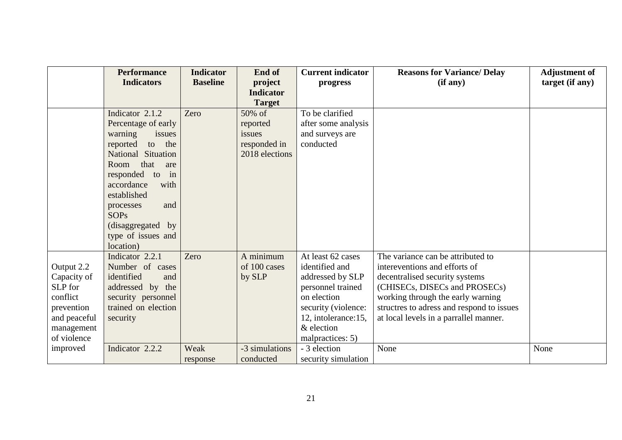|              | <b>Performance</b><br><b>Indicators</b> | <b>Indicator</b><br><b>Baseline</b> | End of<br>project | <b>Current indicator</b><br>progress | <b>Reasons for Variance/ Delay</b><br>(if any) | <b>Adjustment of</b><br>target (if any) |
|--------------|-----------------------------------------|-------------------------------------|-------------------|--------------------------------------|------------------------------------------------|-----------------------------------------|
|              |                                         |                                     | <b>Indicator</b>  |                                      |                                                |                                         |
|              |                                         |                                     | <b>Target</b>     |                                      |                                                |                                         |
|              | Indicator 2.1.2                         | Zero                                | 50% of            | To be clarified                      |                                                |                                         |
|              | Percentage of early                     |                                     | reported          | after some analysis                  |                                                |                                         |
|              | warning<br>issues                       |                                     | issues            | and surveys are                      |                                                |                                         |
|              | reported<br>the<br>to                   |                                     | responded in      | conducted                            |                                                |                                         |
|              | National Situation                      |                                     | 2018 elections    |                                      |                                                |                                         |
|              | that<br>Room<br>are                     |                                     |                   |                                      |                                                |                                         |
|              | responded to<br>in                      |                                     |                   |                                      |                                                |                                         |
|              | accordance<br>with                      |                                     |                   |                                      |                                                |                                         |
|              | established                             |                                     |                   |                                      |                                                |                                         |
|              | and<br>processes                        |                                     |                   |                                      |                                                |                                         |
|              | <b>SOPs</b>                             |                                     |                   |                                      |                                                |                                         |
|              | (disaggregated by                       |                                     |                   |                                      |                                                |                                         |
|              | type of issues and                      |                                     |                   |                                      |                                                |                                         |
|              | location)                               |                                     |                   |                                      |                                                |                                         |
|              | Indicator 2.2.1                         | Zero                                | A minimum         | At least 62 cases                    | The variance can be attributed to              |                                         |
| Output 2.2   | Number of cases                         |                                     | of 100 cases      | identified and                       | intereventions and efforts of                  |                                         |
| Capacity of  | identified<br>and                       |                                     | by SLP            | addressed by SLP                     | decentralised security systems                 |                                         |
| SLP for      | addressed by the                        |                                     |                   | personnel trained                    | (CHISECs, DISECs and PROSECs)                  |                                         |
| conflict     | security personnel                      |                                     |                   | on election                          | working through the early warning              |                                         |
| prevention   | trained on election                     |                                     |                   | security (violence:                  | structres to adress and respond to issues      |                                         |
| and peaceful | security                                |                                     |                   | 12, intolerance: 15,                 | at local levels in a parrallel manner.         |                                         |
| management   |                                         |                                     |                   | & election                           |                                                |                                         |
| of violence  |                                         |                                     |                   | malpractices: 5)                     |                                                |                                         |
| improved     | Indicator 2.2.2                         | Weak                                | -3 simulations    | - 3 election                         | None                                           | None                                    |
|              |                                         | response                            | conducted         | security simulation                  |                                                |                                         |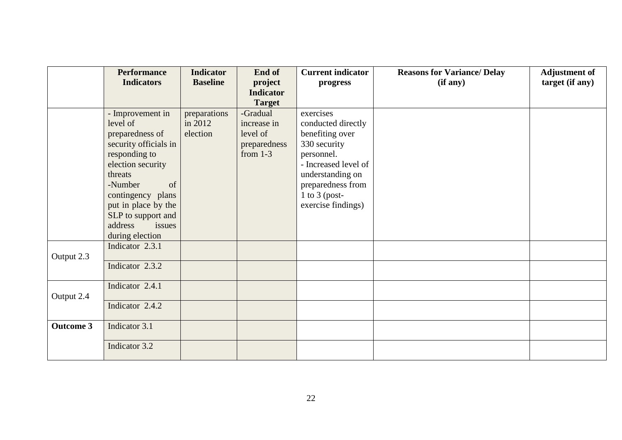|                  | <b>Performance</b><br><b>Indicators</b>                                                                                                                         | <b>Indicator</b>                    | End of                                                            | <b>Current indicator</b>                                                                                                                                           | <b>Reasons for Variance/ Delay</b> | <b>Adjustment of</b> |
|------------------|-----------------------------------------------------------------------------------------------------------------------------------------------------------------|-------------------------------------|-------------------------------------------------------------------|--------------------------------------------------------------------------------------------------------------------------------------------------------------------|------------------------------------|----------------------|
|                  |                                                                                                                                                                 | <b>Baseline</b>                     | project<br><b>Indicator</b>                                       | progress                                                                                                                                                           | (if any)                           | target (if any)      |
|                  |                                                                                                                                                                 |                                     | <b>Target</b>                                                     |                                                                                                                                                                    |                                    |                      |
|                  | - Improvement in<br>level of<br>preparedness of<br>security officials in<br>responding to<br>election security<br>threats<br>-Number<br>of<br>contingency plans | preparations<br>in 2012<br>election | -Gradual<br>increase in<br>level of<br>preparedness<br>from $1-3$ | exercises<br>conducted directly<br>benefiting over<br>330 security<br>personnel.<br>- Increased level of<br>understanding on<br>preparedness from<br>1 to 3 (post- |                                    |                      |
|                  | put in place by the<br>SLP to support and<br>address<br>issues<br>during election                                                                               |                                     |                                                                   | exercise findings)                                                                                                                                                 |                                    |                      |
| Output 2.3       | Indicator 2.3.1                                                                                                                                                 |                                     |                                                                   |                                                                                                                                                                    |                                    |                      |
|                  | Indicator 2.3.2                                                                                                                                                 |                                     |                                                                   |                                                                                                                                                                    |                                    |                      |
| Output 2.4       | Indicator 2.4.1                                                                                                                                                 |                                     |                                                                   |                                                                                                                                                                    |                                    |                      |
|                  | Indicator 2.4.2                                                                                                                                                 |                                     |                                                                   |                                                                                                                                                                    |                                    |                      |
| <b>Outcome 3</b> | Indicator 3.1                                                                                                                                                   |                                     |                                                                   |                                                                                                                                                                    |                                    |                      |
|                  | Indicator 3.2                                                                                                                                                   |                                     |                                                                   |                                                                                                                                                                    |                                    |                      |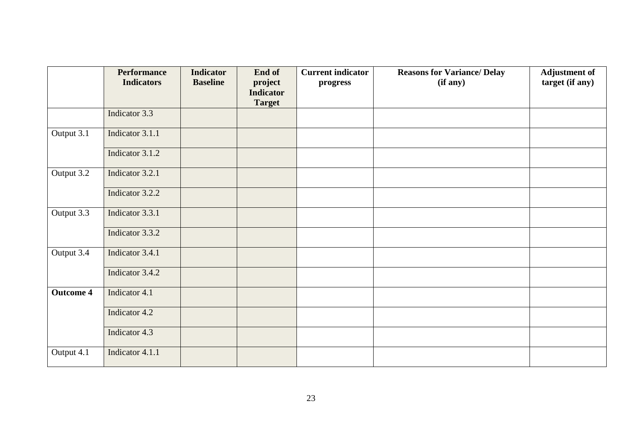|                  | <b>Performance</b><br><b>Indicators</b> | <b>Indicator</b><br><b>Baseline</b> | End of<br>project                 | <b>Current indicator</b><br>progress | <b>Reasons for Variance/ Delay</b><br>(if any) | <b>Adjustment of</b><br>target (if any) |
|------------------|-----------------------------------------|-------------------------------------|-----------------------------------|--------------------------------------|------------------------------------------------|-----------------------------------------|
|                  |                                         |                                     | <b>Indicator</b><br><b>Target</b> |                                      |                                                |                                         |
|                  | Indicator 3.3                           |                                     |                                   |                                      |                                                |                                         |
| Output 3.1       | Indicator 3.1.1                         |                                     |                                   |                                      |                                                |                                         |
|                  | Indicator 3.1.2                         |                                     |                                   |                                      |                                                |                                         |
| Output 3.2       | Indicator 3.2.1                         |                                     |                                   |                                      |                                                |                                         |
|                  | Indicator 3.2.2                         |                                     |                                   |                                      |                                                |                                         |
| Output 3.3       | Indicator 3.3.1                         |                                     |                                   |                                      |                                                |                                         |
|                  | Indicator 3.3.2                         |                                     |                                   |                                      |                                                |                                         |
| Output 3.4       | Indicator 3.4.1                         |                                     |                                   |                                      |                                                |                                         |
|                  | Indicator 3.4.2                         |                                     |                                   |                                      |                                                |                                         |
| <b>Outcome 4</b> | Indicator 4.1                           |                                     |                                   |                                      |                                                |                                         |
|                  | Indicator 4.2                           |                                     |                                   |                                      |                                                |                                         |
|                  | Indicator 4.3                           |                                     |                                   |                                      |                                                |                                         |
| Output 4.1       | Indicator 4.1.1                         |                                     |                                   |                                      |                                                |                                         |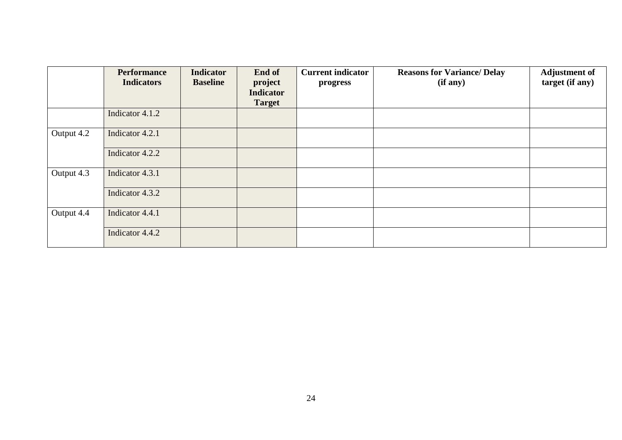|            | <b>Performance</b> | <b>Indicator</b> | End of                      | <b>Current indicator</b> | <b>Reasons for Variance/ Delay</b> | <b>Adjustment of</b> |
|------------|--------------------|------------------|-----------------------------|--------------------------|------------------------------------|----------------------|
|            | <b>Indicators</b>  | <b>Baseline</b>  | project<br><b>Indicator</b> | progress                 | (if any)                           | target (if any)      |
|            |                    |                  | <b>Target</b>               |                          |                                    |                      |
|            | Indicator 4.1.2    |                  |                             |                          |                                    |                      |
| Output 4.2 | Indicator 4.2.1    |                  |                             |                          |                                    |                      |
|            | Indicator 4.2.2    |                  |                             |                          |                                    |                      |
| Output 4.3 | Indicator 4.3.1    |                  |                             |                          |                                    |                      |
|            | Indicator 4.3.2    |                  |                             |                          |                                    |                      |
| Output 4.4 | Indicator 4.4.1    |                  |                             |                          |                                    |                      |
|            | Indicator 4.4.2    |                  |                             |                          |                                    |                      |